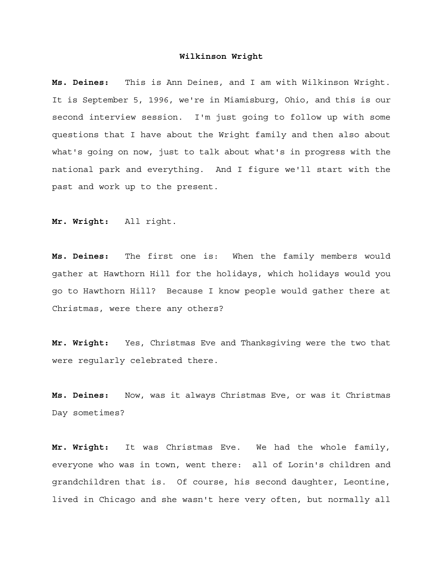**Ms. Deines:** This is Ann Deines, and I am with Wilkinson Wright. It is September 5, 1996, we're in Miamisburg, Ohio, and this is our second interview session. I'm just going to follow up with some questions that I have about the Wright family and then also about what's going on now, just to talk about what's in progress with the national park and everything. And I figure we'll start with the past and work up to the present.

**Mr. Wright:** All right.

**Ms. Deines:** The first one is: When the family members would gather at Hawthorn Hill for the holidays, which holidays would you go to Hawthorn Hill? Because I know people would gather there at Christmas, were there any others?

**Mr. Wright:** Yes, Christmas Eve and Thanksgiving were the two that were regularly celebrated there.

**Ms. Deines:** Now, was it always Christmas Eve, or was it Christmas Day sometimes?

**Mr. Wright:** It was Christmas Eve. We had the whole family, everyone who was in town, went there: all of Lorin's children and grandchildren that is. Of course, his second daughter, Leontine, lived in Chicago and she wasn't here very often, but normally all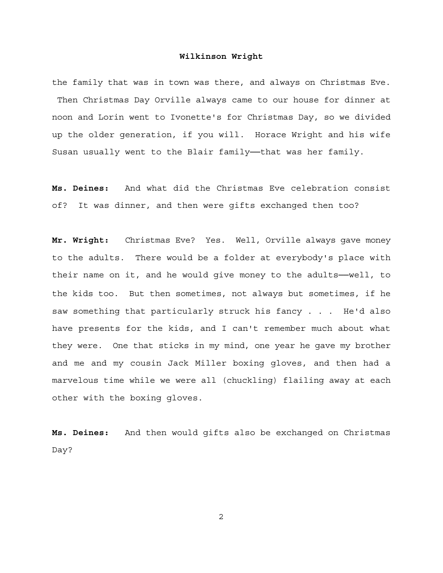the family that was in town was there, and always on Christmas Eve. Then Christmas Day Orville always came to our house for dinner at noon and Lorin went to Ivonette's for Christmas Day, so we divided up the older generation, if you will. Horace Wright and his wife Susan usually went to the Blair family--that was her family.

**Ms. Deines:** And what did the Christmas Eve celebration consist of? It was dinner, and then were gifts exchanged then too?

**Mr. Wright:** Christmas Eve? Yes. Well, Orville always gave money to the adults. There would be a folder at everybody's place with their name on it, and he would give money to the adults──well, to the kids too. But then sometimes, not always but sometimes, if he saw something that particularly struck his fancy . . . He'd also have presents for the kids, and I can't remember much about what they were. One that sticks in my mind, one year he gave my brother and me and my cousin Jack Miller boxing gloves, and then had a marvelous time while we were all (chuckling) flailing away at each other with the boxing gloves.

**Ms. Deines:** And then would gifts also be exchanged on Christmas Day?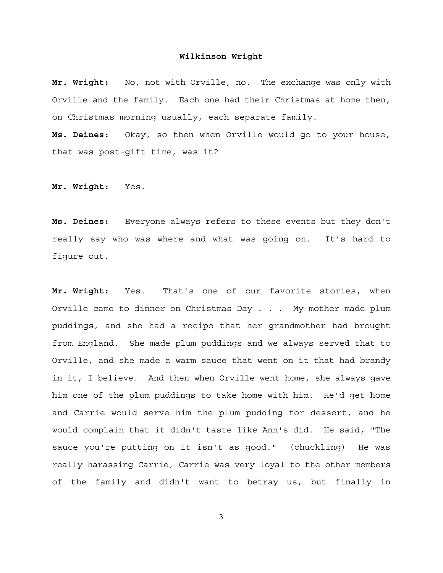**Mr. Wright:** No, not with Orville, no. The exchange was only with Orville and the family. Each one had their Christmas at home then, on Christmas morning usually, each separate family.

**Ms. Deines:** Okay, so then when Orville would go to your house, that was post-gift time, was it?

**Mr. Wright:** Yes.

**Ms. Deines:** Everyone always refers to these events but they don't really say who was where and what was going on. It's hard to figure out.

**Mr. Wright:** Yes. That's one of our favorite stories, when Orville came to dinner on Christmas Day . . . My mother made plum puddings, and she had a recipe that her grandmother had brought from England. She made plum puddings and we always served that to Orville, and she made a warm sauce that went on it that had brandy in it, I believe. And then when Orville went home, she always gave him one of the plum puddings to take home with him. He'd get home and Carrie would serve him the plum pudding for dessert, and he would complain that it didn't taste like Ann's did. He said, "The sauce you're putting on it isn't as good." (chuckling) He was really harassing Carrie, Carrie was very loyal to the other members of the family and didn't want to betray us, but finally in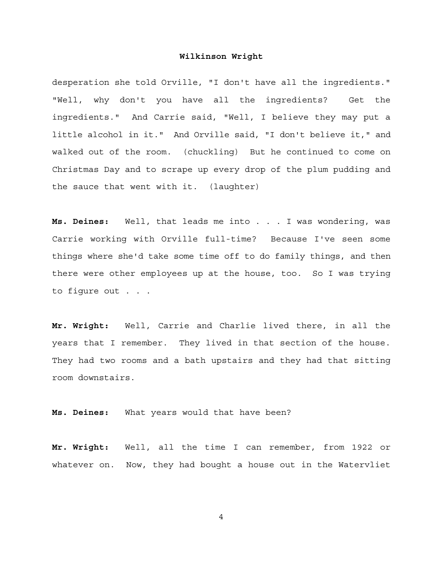desperation she told Orville, "I don't have all the ingredients." "Well, why don't you have all the ingredients? Get the ingredients." And Carrie said, "Well, I believe they may put a little alcohol in it." And Orville said, "I don't believe it," and walked out of the room. (chuckling) But he continued to come on Christmas Day and to scrape up every drop of the plum pudding and the sauce that went with it. (laughter)

**Ms. Deines:** Well, that leads me into . . . I was wondering, was Carrie working with Orville full-time? Because I've seen some things where she'd take some time off to do family things, and then there were other employees up at the house, too. So I was trying to figure out . . .

**Mr. Wright:** Well, Carrie and Charlie lived there, in all the years that I remember. They lived in that section of the house. They had two rooms and a bath upstairs and they had that sitting room downstairs.

**Ms. Deines:** What years would that have been?

**Mr. Wright:** Well, all the time I can remember, from 1922 or whatever on. Now, they had bought a house out in the Watervliet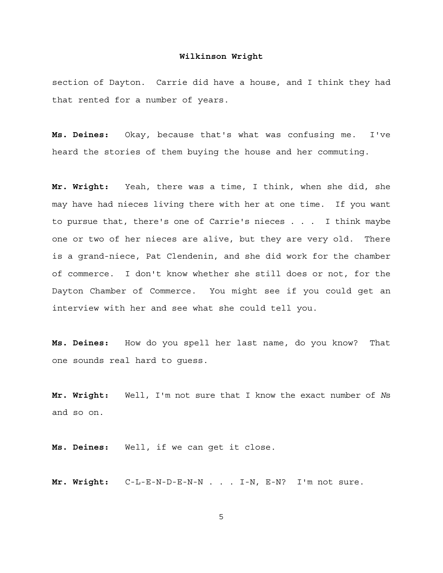section of Dayton. Carrie did have a house, and I think they had that rented for a number of years.

**Ms. Deines:** Okay, because that's what was confusing me. I've heard the stories of them buying the house and her commuting.

**Mr. Wright:** Yeah, there was a time, I think, when she did, she may have had nieces living there with her at one time. If you want to pursue that, there's one of Carrie's nieces . . . I think maybe one or two of her nieces are alive, but they are very old. There is a grand-niece, Pat Clendenin, and she did work for the chamber of commerce. I don't know whether she still does or not, for the Dayton Chamber of Commerce. You might see if you could get an interview with her and see what she could tell you.

**Ms. Deines:** How do you spell her last name, do you know? That one sounds real hard to guess.

**Mr. Wright:** Well, I'm not sure that I know the exact number of *N*s and so on.

**Ms. Deines:** Well, if we can get it close.

**Mr. Wright:** C-L-E-N-D-E-N-N . . . I-N, E-N? I'm not sure.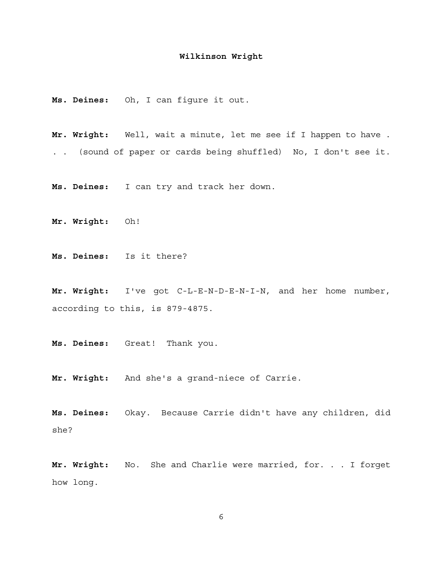**Ms. Deines:** Oh, I can figure it out.

**Mr. Wright:** Well, wait a minute, let me see if I happen to have . . . (sound of paper or cards being shuffled) No, I don't see it.

**Ms. Deines:** I can try and track her down.

**Mr. Wright:** Oh!

**Ms. Deines:** Is it there?

**Mr. Wright:** I've got C-L-E-N-D-E-N-I-N, and her home number, according to this, is 879-4875.

**Ms. Deines:** Great! Thank you.

**Mr. Wright:** And she's a grand-niece of Carrie.

**Ms. Deines:** Okay. Because Carrie didn't have any children, did she?

**Mr. Wright:** No. She and Charlie were married, for. . . I forget how long.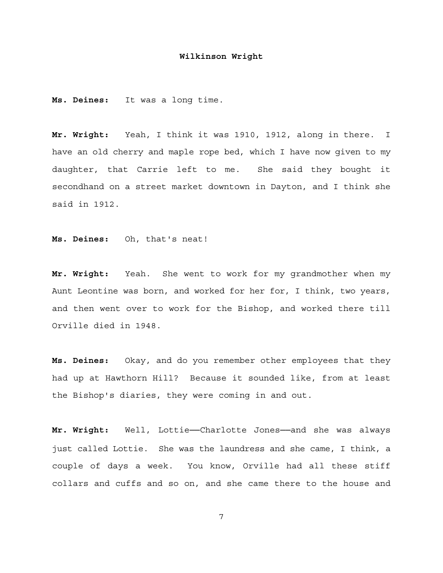**Ms. Deines:** It was a long time.

**Mr. Wright:** Yeah, I think it was 1910, 1912, along in there. I have an old cherry and maple rope bed, which I have now given to my daughter, that Carrie left to me. She said they bought it secondhand on a street market downtown in Dayton, and I think she said in 1912.

**Ms. Deines:** Oh, that's neat!

**Mr. Wright:** Yeah. She went to work for my grandmother when my Aunt Leontine was born, and worked for her for, I think, two years, and then went over to work for the Bishop, and worked there till Orville died in 1948.

**Ms. Deines:** Okay, and do you remember other employees that they had up at Hawthorn Hill? Because it sounded like, from at least the Bishop's diaries, they were coming in and out.

**Mr. Wright:** Well, Lottie──Charlotte Jones──and she was always just called Lottie. She was the laundress and she came, I think, a couple of days a week. You know, Orville had all these stiff collars and cuffs and so on, and she came there to the house and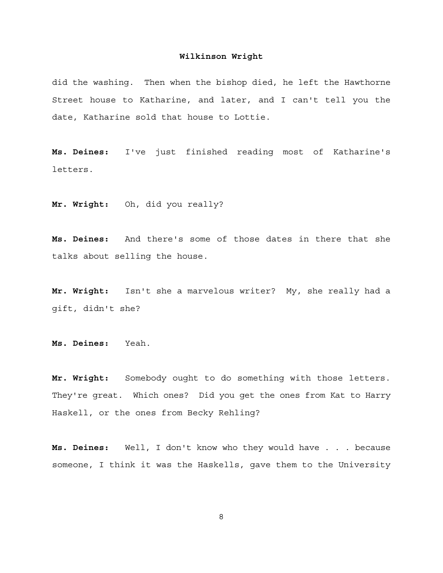did the washing. Then when the bishop died, he left the Hawthorne Street house to Katharine, and later, and I can't tell you the date, Katharine sold that house to Lottie.

**Ms. Deines:** I've just finished reading most of Katharine's letters.

**Mr. Wright:** Oh, did you really?

**Ms. Deines:** And there's some of those dates in there that she talks about selling the house.

**Mr. Wright:** Isn't she a marvelous writer? My, she really had a gift, didn't she?

**Ms. Deines:** Yeah.

**Mr. Wright:** Somebody ought to do something with those letters. They're great. Which ones? Did you get the ones from Kat to Harry Haskell, or the ones from Becky Rehling?

**Ms. Deines:** Well, I don't know who they would have . . . because someone, I think it was the Haskells, gave them to the University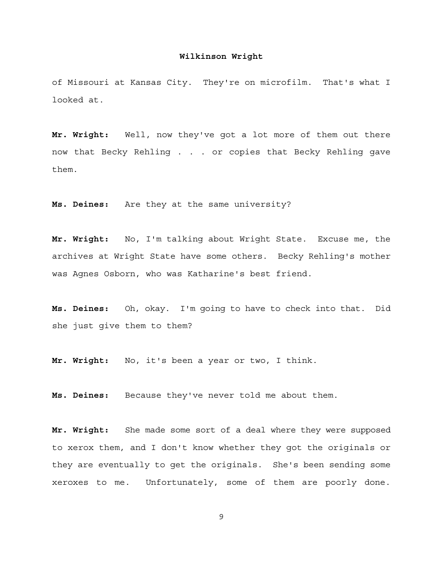of Missouri at Kansas City. They're on microfilm. That's what I looked at.

**Mr. Wright:** Well, now they've got a lot more of them out there now that Becky Rehling . . . or copies that Becky Rehling gave them.

**Ms. Deines:** Are they at the same university?

**Mr. Wright:** No, I'm talking about Wright State. Excuse me, the archives at Wright State have some others. Becky Rehling's mother was Agnes Osborn, who was Katharine's best friend.

**Ms. Deines:** Oh, okay. I'm going to have to check into that. Did she just give them to them?

**Mr. Wright:** No, it's been a year or two, I think.

**Ms. Deines:** Because they've never told me about them.

**Mr. Wright:** She made some sort of a deal where they were supposed to xerox them, and I don't know whether they got the originals or they are eventually to get the originals. She's been sending some xeroxes to me. Unfortunately, some of them are poorly done.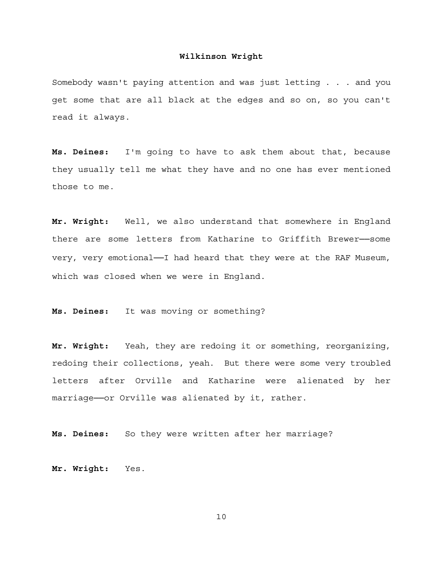Somebody wasn't paying attention and was just letting . . . and you get some that are all black at the edges and so on, so you can't read it always.

**Ms. Deines:** I'm going to have to ask them about that, because they usually tell me what they have and no one has ever mentioned those to me.

**Mr. Wright:** Well, we also understand that somewhere in England there are some letters from Katharine to Griffith Brewer──some very, very emotional-I had heard that they were at the RAF Museum, which was closed when we were in England.

**Ms. Deines:** It was moving or something?

**Mr. Wright:** Yeah, they are redoing it or something, reorganizing, redoing their collections, yeah. But there were some very troubled letters after Orville and Katharine were alienated by her marriage--or Orville was alienated by it, rather.

**Ms. Deines:** So they were written after her marriage?

**Mr. Wright:** Yes.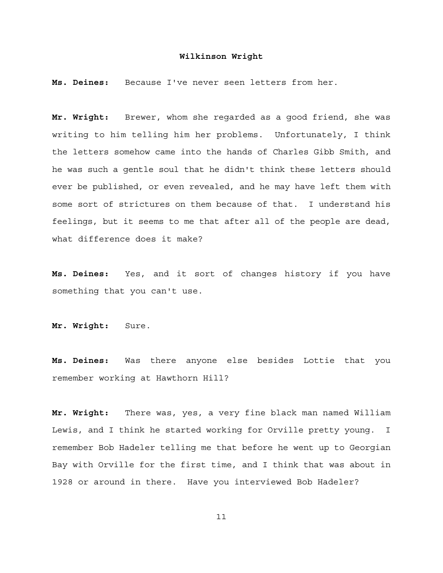**Ms. Deines:** Because I've never seen letters from her.

**Mr. Wright:** Brewer, whom she regarded as a good friend, she was writing to him telling him her problems. Unfortunately, I think the letters somehow came into the hands of Charles Gibb Smith, and he was such a gentle soul that he didn't think these letters should ever be published, or even revealed, and he may have left them with some sort of strictures on them because of that. I understand his feelings, but it seems to me that after all of the people are dead, what difference does it make?

**Ms. Deines:** Yes, and it sort of changes history if you have something that you can't use.

**Mr. Wright:** Sure.

**Ms. Deines:** Was there anyone else besides Lottie that you remember working at Hawthorn Hill?

**Mr. Wright:** There was, yes, a very fine black man named William Lewis, and I think he started working for Orville pretty young. I remember Bob Hadeler telling me that before he went up to Georgian Bay with Orville for the first time, and I think that was about in 1928 or around in there. Have you interviewed Bob Hadeler?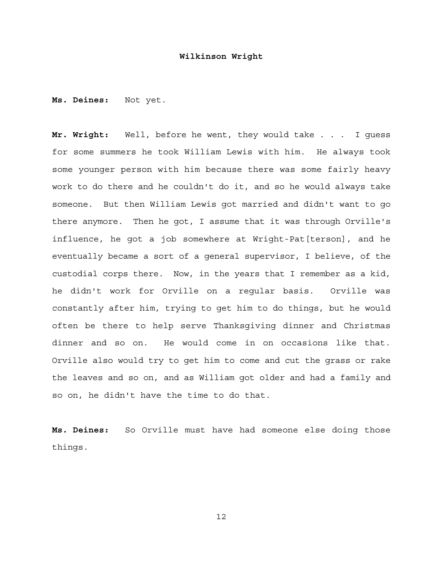**Ms. Deines:** Not yet.

**Mr. Wright:** Well, before he went, they would take . . . I guess for some summers he took William Lewis with him. He always took some younger person with him because there was some fairly heavy work to do there and he couldn't do it, and so he would always take someone. But then William Lewis got married and didn't want to go there anymore. Then he got, I assume that it was through Orville's influence, he got a job somewhere at Wright-Pat[terson], and he eventually became a sort of a general supervisor, I believe, of the custodial corps there. Now, in the years that I remember as a kid, he didn't work for Orville on a regular basis. Orville was constantly after him, trying to get him to do things, but he would often be there to help serve Thanksgiving dinner and Christmas dinner and so on. He would come in on occasions like that. Orville also would try to get him to come and cut the grass or rake the leaves and so on, and as William got older and had a family and so on, he didn't have the time to do that.

**Ms. Deines:** So Orville must have had someone else doing those things.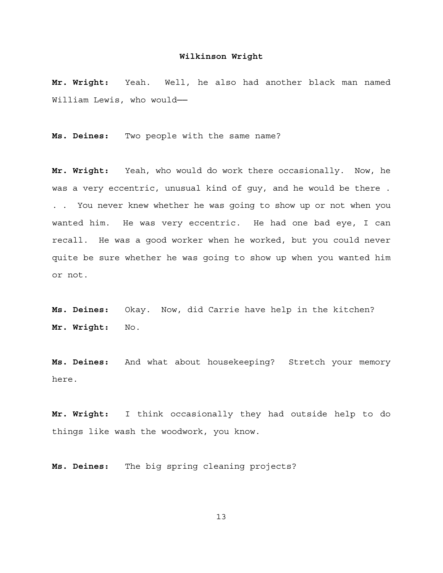**Mr. Wright:** Yeah. Well, he also had another black man named William Lewis, who would-

**Ms. Deines:** Two people with the same name?

**Mr. Wright:** Yeah, who would do work there occasionally. Now, he was a very eccentric, unusual kind of guy, and he would be there . . . You never knew whether he was going to show up or not when you wanted him. He was very eccentric. He had one bad eye, I can recall. He was a good worker when he worked, but you could never quite be sure whether he was going to show up when you wanted him or not.

**Ms. Deines:** Okay. Now, did Carrie have help in the kitchen? **Mr. Wright:** No.

**Ms. Deines:** And what about housekeeping? Stretch your memory here.

**Mr. Wright:** I think occasionally they had outside help to do things like wash the woodwork, you know.

**Ms. Deines:** The big spring cleaning projects?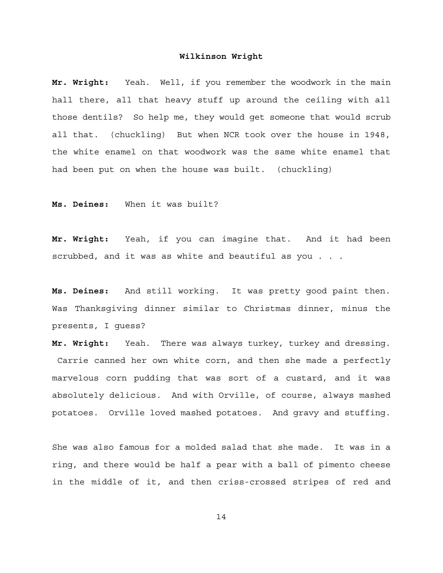**Mr. Wright:** Yeah. Well, if you remember the woodwork in the main hall there, all that heavy stuff up around the ceiling with all those dentils? So help me, they would get someone that would scrub all that. (chuckling) But when NCR took over the house in 1948, the white enamel on that woodwork was the same white enamel that had been put on when the house was built. (chuckling)

**Ms. Deines:** When it was built?

**Mr. Wright:** Yeah, if you can imagine that. And it had been scrubbed, and it was as white and beautiful as you . . .

**Ms. Deines:** And still working. It was pretty good paint then. Was Thanksgiving dinner similar to Christmas dinner, minus the presents, I guess?

**Mr. Wright:** Yeah. There was always turkey, turkey and dressing. Carrie canned her own white corn, and then she made a perfectly marvelous corn pudding that was sort of a custard, and it was absolutely delicious. And with Orville, of course, always mashed potatoes. Orville loved mashed potatoes. And gravy and stuffing.

She was also famous for a molded salad that she made. It was in a ring, and there would be half a pear with a ball of pimento cheese in the middle of it, and then criss-crossed stripes of red and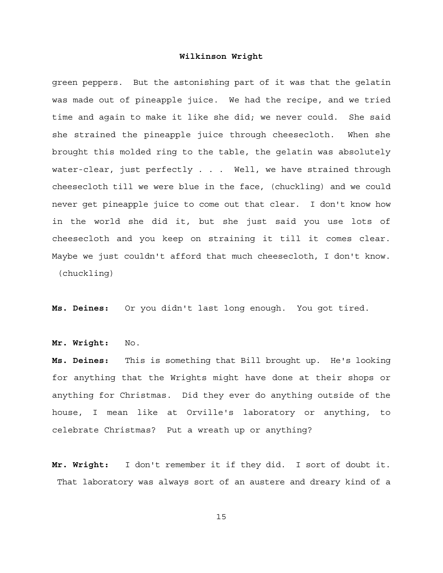green peppers. But the astonishing part of it was that the gelatin was made out of pineapple juice. We had the recipe, and we tried time and again to make it like she did; we never could. She said she strained the pineapple juice through cheesecloth. When she brought this molded ring to the table, the gelatin was absolutely water-clear, just perfectly . . . Well, we have strained through cheesecloth till we were blue in the face, (chuckling) and we could never get pineapple juice to come out that clear. I don't know how in the world she did it, but she just said you use lots of cheesecloth and you keep on straining it till it comes clear. Maybe we just couldn't afford that much cheesecloth, I don't know. (chuckling)

**Ms. Deines:** Or you didn't last long enough. You got tired.

**Mr. Wright:** No.

**Ms. Deines:** This is something that Bill brought up. He's looking for anything that the Wrights might have done at their shops or anything for Christmas. Did they ever do anything outside of the house, I mean like at Orville's laboratory or anything, to celebrate Christmas? Put a wreath up or anything?

**Mr. Wright:** I don't remember it if they did. I sort of doubt it. That laboratory was always sort of an austere and dreary kind of a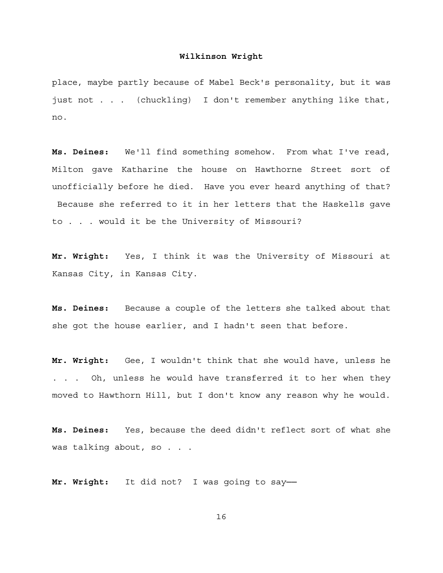place, maybe partly because of Mabel Beck's personality, but it was just not . . . (chuckling) I don't remember anything like that, no.

**Ms. Deines:** We'll find something somehow. From what I've read, Milton gave Katharine the house on Hawthorne Street sort of unofficially before he died. Have you ever heard anything of that? Because she referred to it in her letters that the Haskells gave to . . . would it be the University of Missouri?

**Mr. Wright:** Yes, I think it was the University of Missouri at Kansas City, in Kansas City.

**Ms. Deines:** Because a couple of the letters she talked about that she got the house earlier, and I hadn't seen that before.

**Mr. Wright:** Gee, I wouldn't think that she would have, unless he . . . Oh, unless he would have transferred it to her when they moved to Hawthorn Hill, but I don't know any reason why he would.

**Ms. Deines:** Yes, because the deed didn't reflect sort of what she was talking about, so . . .

**Mr. Wright:** It did not? I was going to say──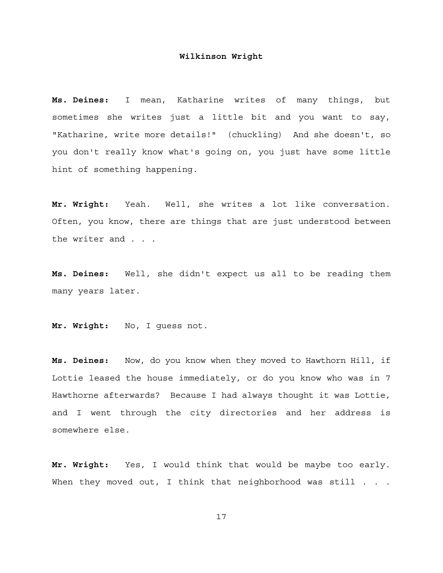**Ms. Deines:** I mean, Katharine writes of many things, but sometimes she writes just a little bit and you want to say, "Katharine, write more details!" (chuckling) And she doesn't, so you don't really know what's going on, you just have some little hint of something happening.

**Mr. Wright:** Yeah. Well, she writes a lot like conversation. Often, you know, there are things that are just understood between the writer and . . .

**Ms. Deines:** Well, she didn't expect us all to be reading them many years later.

**Mr. Wright:** No, I guess not.

**Ms. Deines:** Now, do you know when they moved to Hawthorn Hill, if Lottie leased the house immediately, or do you know who was in 7 Hawthorne afterwards? Because I had always thought it was Lottie, and I went through the city directories and her address is somewhere else.

**Mr. Wright:** Yes, I would think that would be maybe too early. When they moved out, I think that neighborhood was still . . .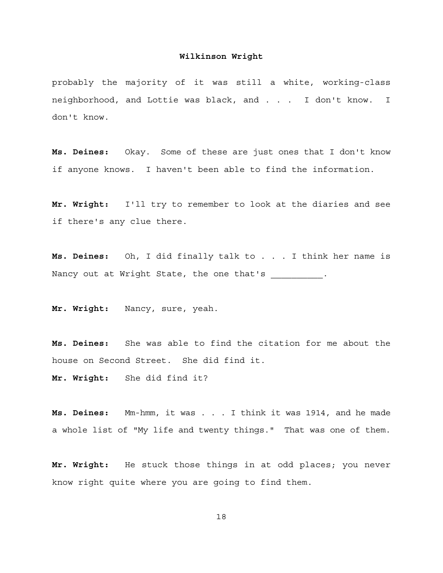probably the majority of it was still a white, working-class neighborhood, and Lottie was black, and . . . I don't know. I don't know.

**Ms. Deines:** Okay. Some of these are just ones that I don't know if anyone knows. I haven't been able to find the information.

**Mr. Wright:** I'll try to remember to look at the diaries and see if there's any clue there.

**Ms. Deines:** Oh, I did finally talk to . . . I think her name is Nancy out at Wright State, the one that's  $\hspace{1cm} .$ 

**Mr. Wright:** Nancy, sure, yeah.

**Ms. Deines:** She was able to find the citation for me about the house on Second Street. She did find it.

**Mr. Wright:** She did find it?

**Ms. Deines:** Mm-hmm, it was . . . I think it was 1914, and he made a whole list of "My life and twenty things." That was one of them.

**Mr. Wright:** He stuck those things in at odd places; you never know right quite where you are going to find them.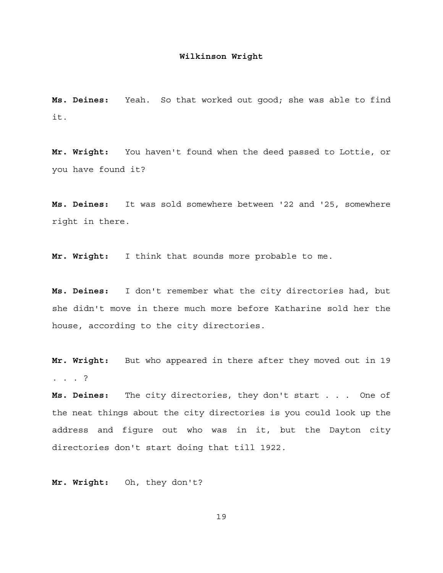**Ms. Deines:** Yeah. So that worked out good; she was able to find it.

**Mr. Wright:** You haven't found when the deed passed to Lottie, or you have found it?

**Ms. Deines:** It was sold somewhere between '22 and '25, somewhere right in there.

**Mr. Wright:** I think that sounds more probable to me.

**Ms. Deines:** I don't remember what the city directories had, but she didn't move in there much more before Katharine sold her the house, according to the city directories.

**Mr. Wright:** But who appeared in there after they moved out in 19 . . . ?

**Ms. Deines:** The city directories, they don't start . . . One of the neat things about the city directories is you could look up the address and figure out who was in it, but the Dayton city directories don't start doing that till 1922.

**Mr. Wright:** Oh, they don't?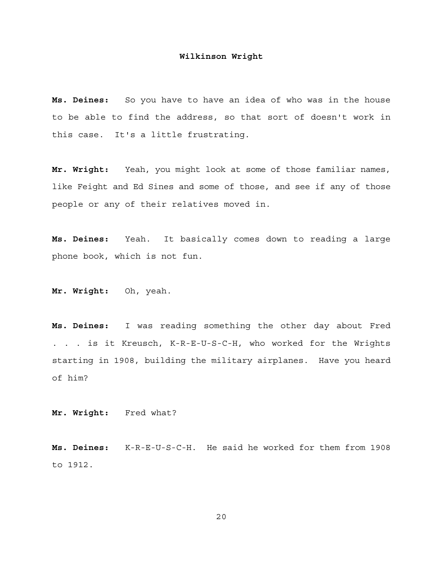**Ms. Deines:** So you have to have an idea of who was in the house to be able to find the address, so that sort of doesn't work in this case. It's a little frustrating.

**Mr. Wright:** Yeah, you might look at some of those familiar names, like Feight and Ed Sines and some of those, and see if any of those people or any of their relatives moved in.

**Ms. Deines:** Yeah. It basically comes down to reading a large phone book, which is not fun.

**Mr. Wright:** Oh, yeah.

**Ms. Deines:** I was reading something the other day about Fred . . . is it Kreusch, K-R-E-U-S-C-H, who worked for the Wrights starting in 1908, building the military airplanes. Have you heard of him?

**Mr. Wright:** Fred what?

**Ms. Deines:** K-R-E-U-S-C-H. He said he worked for them from 1908 to 1912.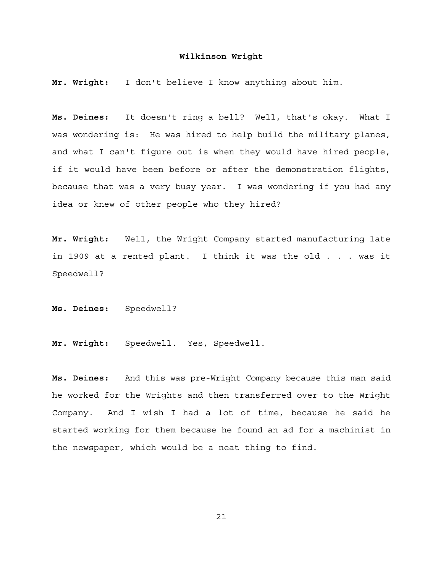**Mr. Wright:** I don't believe I know anything about him.

**Ms. Deines:** It doesn't ring a bell? Well, that's okay. What I was wondering is: He was hired to help build the military planes, and what I can't figure out is when they would have hired people, if it would have been before or after the demonstration flights, because that was a very busy year. I was wondering if you had any idea or knew of other people who they hired?

**Mr. Wright:** Well, the Wright Company started manufacturing late in 1909 at a rented plant. I think it was the old . . . was it Speedwell?

**Ms. Deines:** Speedwell?

**Mr. Wright:** Speedwell. Yes, Speedwell.

**Ms. Deines:** And this was pre-Wright Company because this man said he worked for the Wrights and then transferred over to the Wright Company. And I wish I had a lot of time, because he said he started working for them because he found an ad for a machinist in the newspaper, which would be a neat thing to find.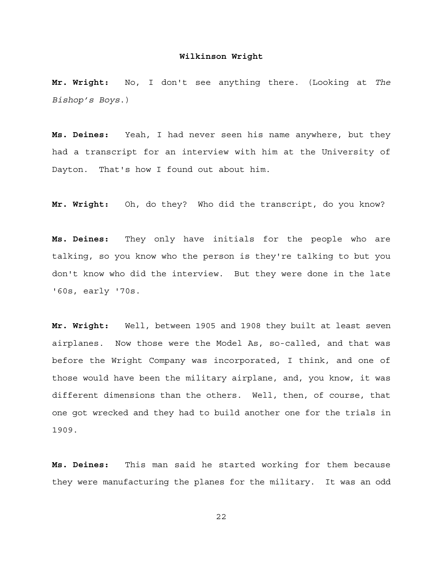**Mr. Wright:** No, I don't see anything there. (Looking at *The Bishop's Boys*.)

**Ms. Deines:** Yeah, I had never seen his name anywhere, but they had a transcript for an interview with him at the University of Dayton. That's how I found out about him.

**Mr. Wright:** Oh, do they? Who did the transcript, do you know?

**Ms. Deines:** They only have initials for the people who are talking, so you know who the person is they're talking to but you don't know who did the interview. But they were done in the late '60s, early '70s.

**Mr. Wright:** Well, between 1905 and 1908 they built at least seven airplanes. Now those were the Model As, so-called, and that was before the Wright Company was incorporated, I think, and one of those would have been the military airplane, and, you know, it was different dimensions than the others. Well, then, of course, that one got wrecked and they had to build another one for the trials in 1909.

**Ms. Deines:** This man said he started working for them because they were manufacturing the planes for the military. It was an odd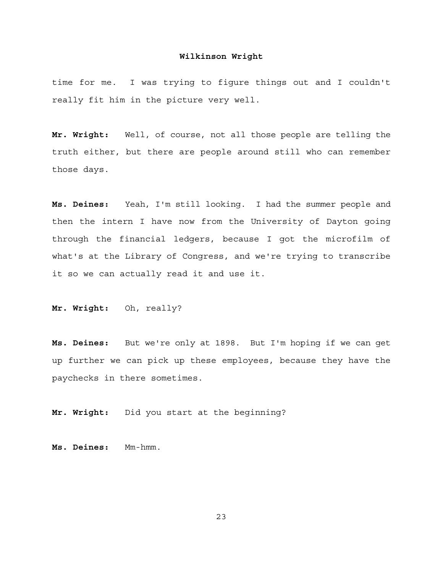time for me. I was trying to figure things out and I couldn't really fit him in the picture very well.

**Mr. Wright:** Well, of course, not all those people are telling the truth either, but there are people around still who can remember those days.

**Ms. Deines:** Yeah, I'm still looking. I had the summer people and then the intern I have now from the University of Dayton going through the financial ledgers, because I got the microfilm of what's at the Library of Congress, and we're trying to transcribe it so we can actually read it and use it.

**Mr. Wright:** Oh, really?

**Ms. Deines:** But we're only at 1898. But I'm hoping if we can get up further we can pick up these employees, because they have the paychecks in there sometimes.

**Mr. Wright:** Did you start at the beginning?

**Ms. Deines:** Mm-hmm.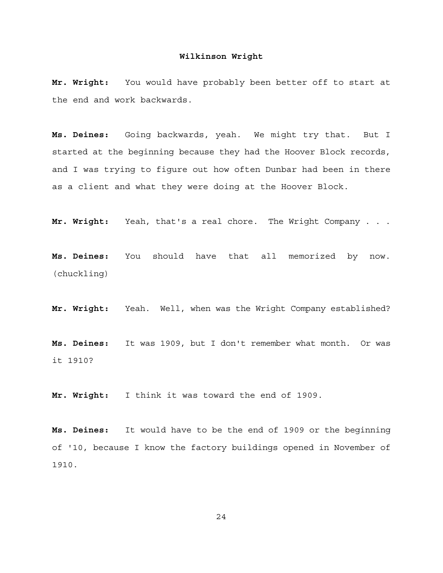**Mr. Wright:** You would have probably been better off to start at the end and work backwards.

**Ms. Deines:** Going backwards, yeah. We might try that. But I started at the beginning because they had the Hoover Block records, and I was trying to figure out how often Dunbar had been in there as a client and what they were doing at the Hoover Block.

**Mr. Wright:** Yeah, that's a real chore. The Wright Company . . .

**Ms. Deines:** You should have that all memorized by now. (chuckling)

**Mr. Wright:** Yeah. Well, when was the Wright Company established?

**Ms. Deines:** It was 1909, but I don't remember what month. Or was it 1910?

**Mr. Wright:** I think it was toward the end of 1909.

**Ms. Deines:** It would have to be the end of 1909 or the beginning of '10, because I know the factory buildings opened in November of 1910.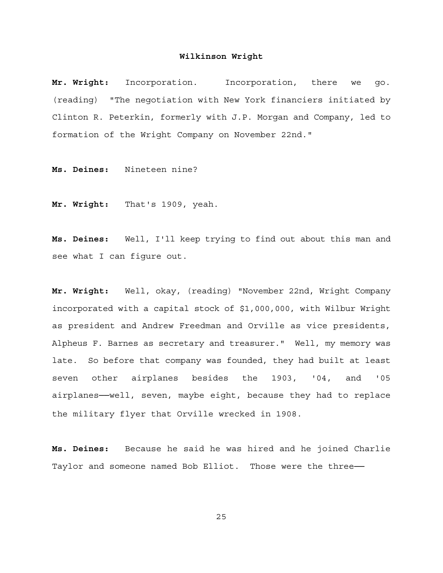**Mr. Wright:** Incorporation. Incorporation, there we go. (reading) "The negotiation with New York financiers initiated by Clinton R. Peterkin, formerly with J.P. Morgan and Company, led to formation of the Wright Company on November 22nd."

**Ms. Deines:** Nineteen nine?

**Mr. Wright:** That's 1909, yeah.

**Ms. Deines:** Well, I'll keep trying to find out about this man and see what I can figure out.

**Mr. Wright:** Well, okay, (reading) "November 22nd, Wright Company incorporated with a capital stock of \$1,000,000, with Wilbur Wright as president and Andrew Freedman and Orville as vice presidents, Alpheus F. Barnes as secretary and treasurer." Well, my memory was late. So before that company was founded, they had built at least seven other airplanes besides the 1903, '04, and '05 airplanes──well, seven, maybe eight, because they had to replace the military flyer that Orville wrecked in 1908.

**Ms. Deines:** Because he said he was hired and he joined Charlie Taylor and someone named Bob Elliot. Those were the three-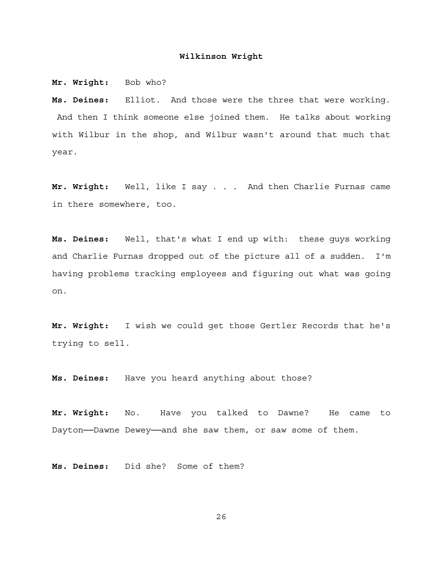**Mr. Wright:** Bob who?

**Ms. Deines:** Elliot. And those were the three that were working. And then I think someone else joined them. He talks about working with Wilbur in the shop, and Wilbur wasn't around that much that year.

**Mr. Wright:** Well, like I say . . . And then Charlie Furnas came in there somewhere, too.

**Ms. Deines:** Well, that's what I end up with: these guys working and Charlie Furnas dropped out of the picture all of a sudden. I'm having problems tracking employees and figuring out what was going on.

**Mr. Wright:** I wish we could get those Gertler Records that he's trying to sell.

**Ms. Deines:** Have you heard anything about those?

**Mr. Wright:** No. Have you talked to Dawne? He came to Dayton──Dawne Dewey──and she saw them, or saw some of them.

**Ms. Deines:** Did she? Some of them?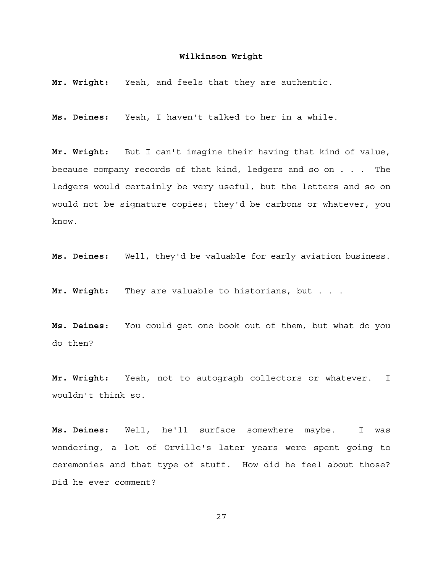**Mr. Wright:** Yeah, and feels that they are authentic.

**Ms. Deines:** Yeah, I haven't talked to her in a while.

**Mr. Wright:** But I can't imagine their having that kind of value, because company records of that kind, ledgers and so on . . . The ledgers would certainly be very useful, but the letters and so on would not be signature copies; they'd be carbons or whatever, you know.

**Ms. Deines:** Well, they'd be valuable for early aviation business.

**Mr. Wright:** They are valuable to historians, but . . .

**Ms. Deines:** You could get one book out of them, but what do you do then?

**Mr. Wright:** Yeah, not to autograph collectors or whatever. I wouldn't think so.

**Ms. Deines:** Well, he'll surface somewhere maybe. I was wondering, a lot of Orville's later years were spent going to ceremonies and that type of stuff. How did he feel about those? Did he ever comment?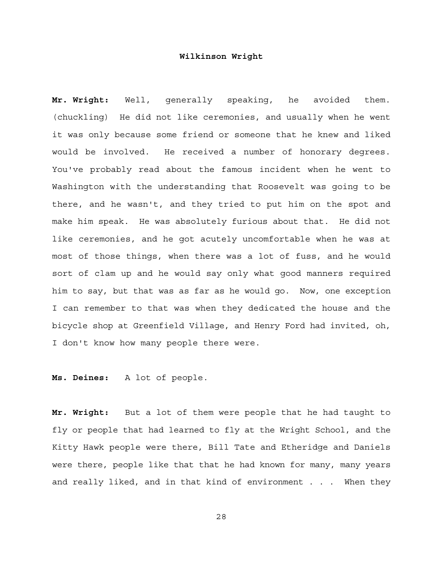**Mr. Wright:** Well, generally speaking, he avoided them. (chuckling) He did not like ceremonies, and usually when he went it was only because some friend or someone that he knew and liked would be involved. He received a number of honorary degrees. You've probably read about the famous incident when he went to Washington with the understanding that Roosevelt was going to be there, and he wasn't, and they tried to put him on the spot and make him speak. He was absolutely furious about that. He did not like ceremonies, and he got acutely uncomfortable when he was at most of those things, when there was a lot of fuss, and he would sort of clam up and he would say only what good manners required him to say, but that was as far as he would go. Now, one exception I can remember to that was when they dedicated the house and the bicycle shop at Greenfield Village, and Henry Ford had invited, oh, I don't know how many people there were.

**Ms. Deines:** A lot of people.

**Mr. Wright:** But a lot of them were people that he had taught to fly or people that had learned to fly at the Wright School, and the Kitty Hawk people were there, Bill Tate and Etheridge and Daniels were there, people like that that he had known for many, many years and really liked, and in that kind of environment . . . When they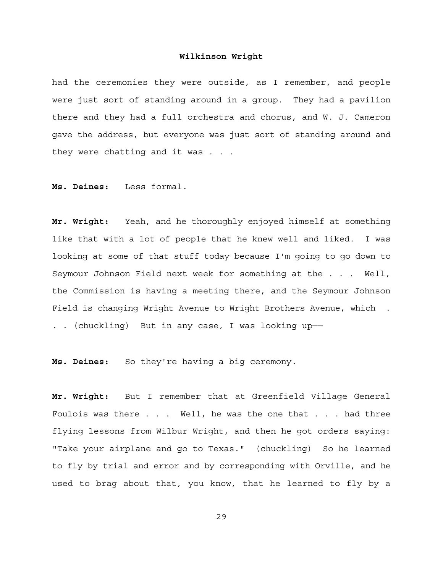had the ceremonies they were outside, as I remember, and people were just sort of standing around in a group. They had a pavilion there and they had a full orchestra and chorus, and W. J. Cameron gave the address, but everyone was just sort of standing around and they were chatting and it was . . .

**Ms. Deines:** Less formal.

**Mr. Wright:** Yeah, and he thoroughly enjoyed himself at something like that with a lot of people that he knew well and liked. I was looking at some of that stuff today because I'm going to go down to Seymour Johnson Field next week for something at the . . . Well, the Commission is having a meeting there, and the Seymour Johnson Field is changing Wright Avenue to Wright Brothers Avenue, which . . . (chuckling) But in any case, I was looking up-

**Ms. Deines:** So they're having a big ceremony.

**Mr. Wright:** But I remember that at Greenfield Village General Foulois was there . . . Well, he was the one that . . . had three flying lessons from Wilbur Wright, and then he got orders saying: "Take your airplane and go to Texas." (chuckling) So he learned to fly by trial and error and by corresponding with Orville, and he used to brag about that, you know, that he learned to fly by a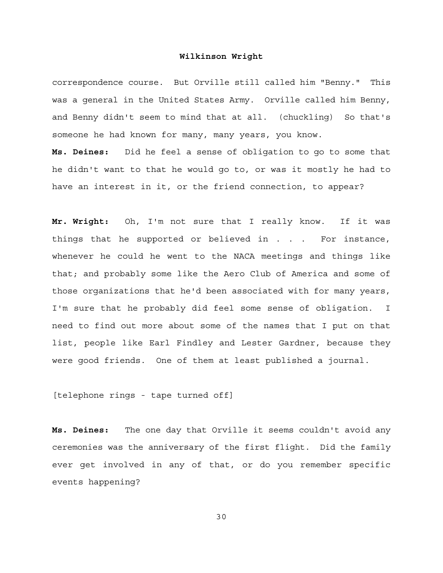correspondence course. But Orville still called him "Benny." This was a general in the United States Army. Orville called him Benny, and Benny didn't seem to mind that at all. (chuckling) So that's someone he had known for many, many years, you know. **Ms. Deines:** Did he feel a sense of obligation to go to some that

he didn't want to that he would go to, or was it mostly he had to have an interest in it, or the friend connection, to appear?

**Mr. Wright:** Oh, I'm not sure that I really know. If it was things that he supported or believed in . . . For instance, whenever he could he went to the NACA meetings and things like that; and probably some like the Aero Club of America and some of those organizations that he'd been associated with for many years, I'm sure that he probably did feel some sense of obligation. I need to find out more about some of the names that I put on that list, people like Earl Findley and Lester Gardner, because they were good friends. One of them at least published a journal.

[telephone rings - tape turned off]

**Ms. Deines:** The one day that Orville it seems couldn't avoid any ceremonies was the anniversary of the first flight. Did the family ever get involved in any of that, or do you remember specific events happening?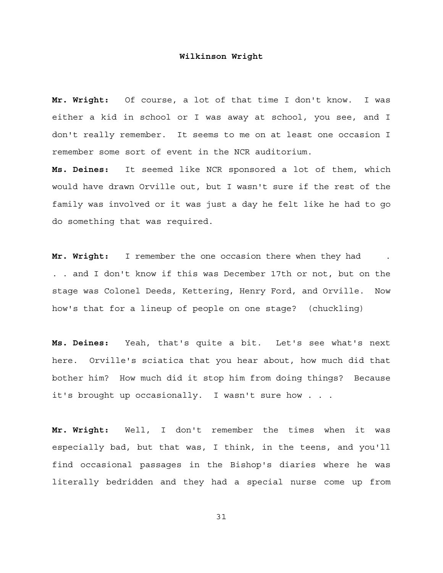**Mr. Wright:** Of course, a lot of that time I don't know. I was either a kid in school or I was away at school, you see, and I don't really remember. It seems to me on at least one occasion I remember some sort of event in the NCR auditorium.

**Ms. Deines:** It seemed like NCR sponsored a lot of them, which would have drawn Orville out, but I wasn't sure if the rest of the family was involved or it was just a day he felt like he had to go do something that was required.

**Mr. Wright:** I remember the one occasion there when they had . . . and I don't know if this was December 17th or not, but on the stage was Colonel Deeds, Kettering, Henry Ford, and Orville. Now how's that for a lineup of people on one stage? (chuckling)

**Ms. Deines:** Yeah, that's quite a bit. Let's see what's next here. Orville's sciatica that you hear about, how much did that bother him? How much did it stop him from doing things? Because it's brought up occasionally. I wasn't sure how . . .

**Mr. Wright:** Well, I don't remember the times when it was especially bad, but that was, I think, in the teens, and you'll find occasional passages in the Bishop's diaries where he was literally bedridden and they had a special nurse come up from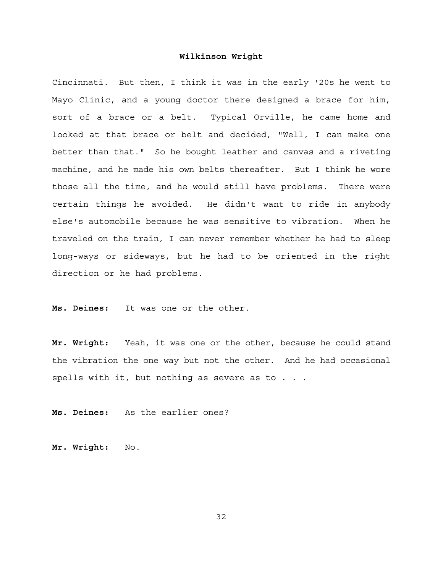Cincinnati. But then, I think it was in the early '20s he went to Mayo Clinic, and a young doctor there designed a brace for him, sort of a brace or a belt. Typical Orville, he came home and looked at that brace or belt and decided, "Well, I can make one better than that." So he bought leather and canvas and a riveting machine, and he made his own belts thereafter. But I think he wore those all the time, and he would still have problems. There were certain things he avoided. He didn't want to ride in anybody else's automobile because he was sensitive to vibration. When he traveled on the train, I can never remember whether he had to sleep long-ways or sideways, but he had to be oriented in the right direction or he had problems.

**Ms. Deines:** It was one or the other.

**Mr. Wright:** Yeah, it was one or the other, because he could stand the vibration the one way but not the other. And he had occasional spells with it, but nothing as severe as to . . .

**Ms. Deines:** As the earlier ones?

**Mr. Wright:** No.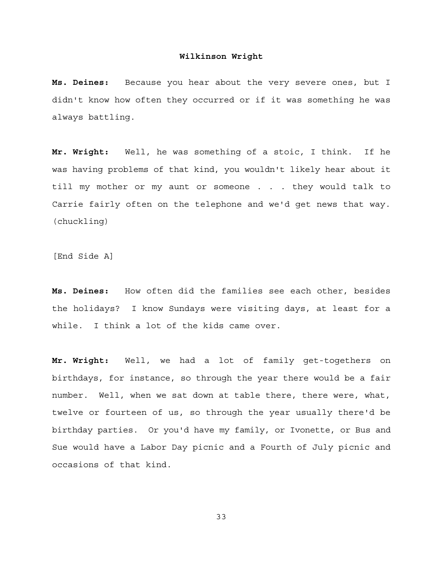**Ms. Deines:** Because you hear about the very severe ones, but I didn't know how often they occurred or if it was something he was always battling.

**Mr. Wright:** Well, he was something of a stoic, I think. If he was having problems of that kind, you wouldn't likely hear about it till my mother or my aunt or someone . . . they would talk to Carrie fairly often on the telephone and we'd get news that way. (chuckling)

[End Side A]

**Ms. Deines:** How often did the families see each other, besides the holidays? I know Sundays were visiting days, at least for a while. I think a lot of the kids came over.

**Mr. Wright:** Well, we had a lot of family get-togethers on birthdays, for instance, so through the year there would be a fair number. Well, when we sat down at table there, there were, what, twelve or fourteen of us, so through the year usually there'd be birthday parties. Or you'd have my family, or Ivonette, or Bus and Sue would have a Labor Day picnic and a Fourth of July picnic and occasions of that kind.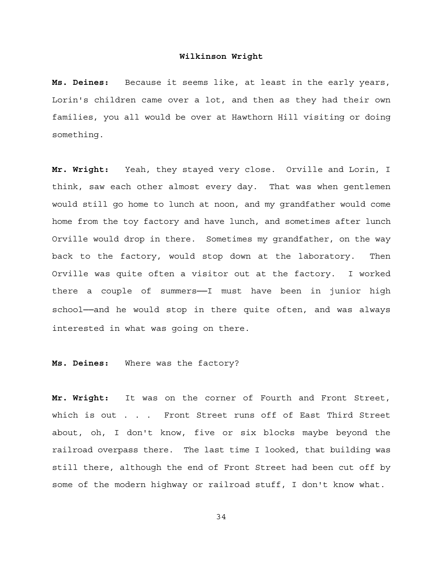**Ms. Deines:** Because it seems like, at least in the early years, Lorin's children came over a lot, and then as they had their own families, you all would be over at Hawthorn Hill visiting or doing something.

**Mr. Wright:** Yeah, they stayed very close. Orville and Lorin, I think, saw each other almost every day. That was when gentlemen would still go home to lunch at noon, and my grandfather would come home from the toy factory and have lunch, and sometimes after lunch Orville would drop in there. Sometimes my grandfather, on the way back to the factory, would stop down at the laboratory. Then Orville was quite often a visitor out at the factory. I worked there a couple of summers-I must have been in junior high school--and he would stop in there quite often, and was always interested in what was going on there.

**Ms. Deines:** Where was the factory?

**Mr. Wright:** It was on the corner of Fourth and Front Street, which is out . . . Front Street runs off of East Third Street about, oh, I don't know, five or six blocks maybe beyond the railroad overpass there. The last time I looked, that building was still there, although the end of Front Street had been cut off by some of the modern highway or railroad stuff, I don't know what.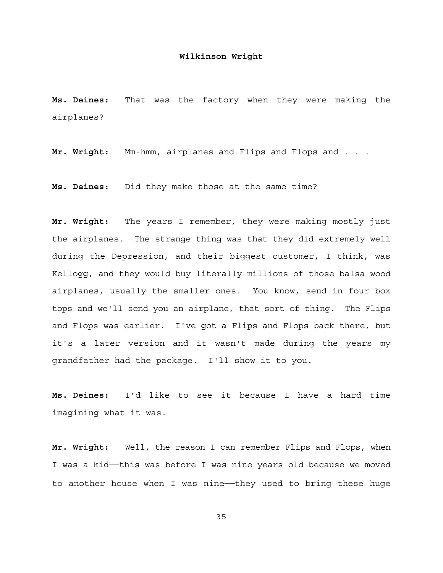**Ms. Deines:** That was the factory when they were making the airplanes?

Mr. Wright: Mm-hmm, airplanes and Flips and Flops and . . .

**Ms. Deines:** Did they make those at the same time?

**Mr. Wright:** The years I remember, they were making mostly just the airplanes. The strange thing was that they did extremely well during the Depression, and their biggest customer, I think, was Kellogg, and they would buy literally millions of those balsa wood airplanes, usually the smaller ones. You know, send in four box tops and we'll send you an airplane, that sort of thing. The Flips and Flops was earlier. I've got a Flips and Flops back there, but it's a later version and it wasn't made during the years my grandfather had the package. I'll show it to you.

**Ms. Deines:** I'd like to see it because I have a hard time imagining what it was.

**Mr. Wright:** Well, the reason I can remember Flips and Flops, when I was a kid--this was before I was nine years old because we moved to another house when I was nine--they used to bring these huge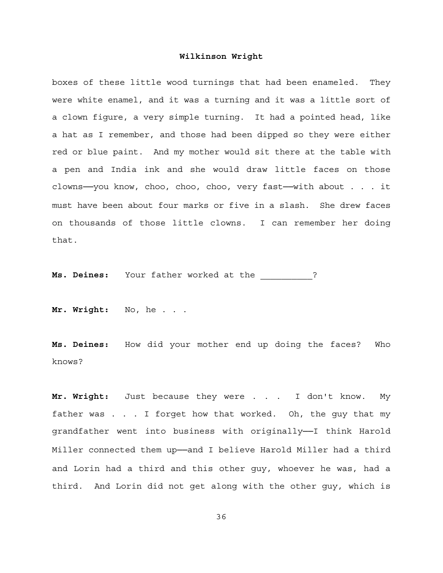boxes of these little wood turnings that had been enameled. They were white enamel, and it was a turning and it was a little sort of a clown figure, a very simple turning. It had a pointed head, like a hat as I remember, and those had been dipped so they were either red or blue paint. And my mother would sit there at the table with a pen and India ink and she would draw little faces on those clowns──you know, choo, choo, choo, very fast──with about . . . it must have been about four marks or five in a slash. She drew faces on thousands of those little clowns. I can remember her doing that.

**Ms. Deines:** Your father worked at the  $\cdot$  ?

**Mr. Wright:** No, he . . .

**Ms. Deines:** How did your mother end up doing the faces? Who knows?

**Mr. Wright:** Just because they were . . . I don't know. My father was . . . I forget how that worked. Oh, the guy that my grandfather went into business with originally--I think Harold Miller connected them up-and I believe Harold Miller had a third and Lorin had a third and this other guy, whoever he was, had a third. And Lorin did not get along with the other guy, which is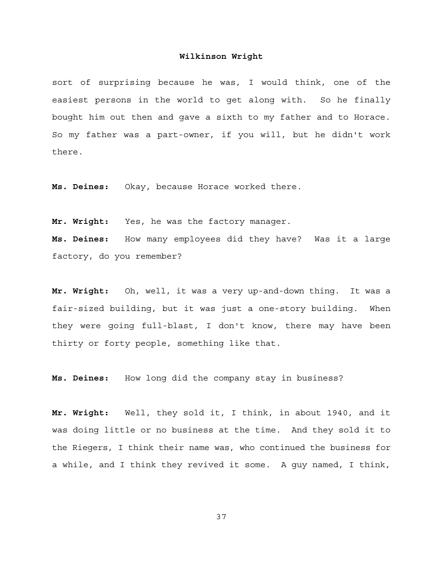sort of surprising because he was, I would think, one of the easiest persons in the world to get along with. So he finally bought him out then and gave a sixth to my father and to Horace. So my father was a part-owner, if you will, but he didn't work there.

**Ms. Deines:** Okay, because Horace worked there.

**Mr. Wright:** Yes, he was the factory manager.

**Ms. Deines:** How many employees did they have? Was it a large factory, do you remember?

**Mr. Wright:** Oh, well, it was a very up-and-down thing. It was a fair-sized building, but it was just a one-story building. When they were going full-blast, I don't know, there may have been thirty or forty people, something like that.

**Ms. Deines:** How long did the company stay in business?

**Mr. Wright:** Well, they sold it, I think, in about 1940, and it was doing little or no business at the time. And they sold it to the Riegers, I think their name was, who continued the business for a while, and I think they revived it some. A guy named, I think,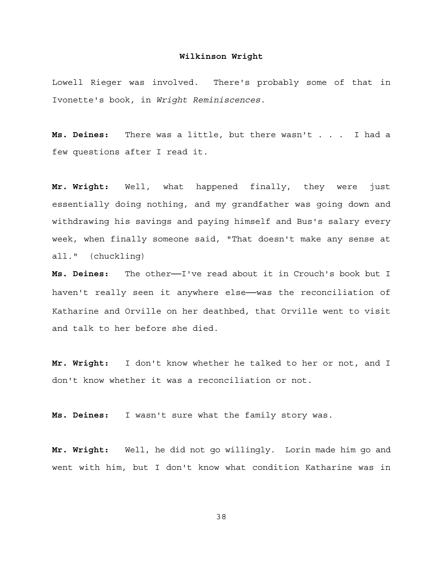Lowell Rieger was involved. There's probably some of that in Ivonette's book, in *Wright Reminiscences*.

**Ms. Deines:** There was a little, but there wasn't . . . I had a few questions after I read it.

**Mr. Wright:** Well, what happened finally, they were just essentially doing nothing, and my grandfather was going down and withdrawing his savings and paying himself and Bus's salary every week, when finally someone said, "That doesn't make any sense at all." (chuckling)

**Ms. Deines:** The other──I've read about it in Crouch's book but I haven't really seen it anywhere else—was the reconciliation of Katharine and Orville on her deathbed, that Orville went to visit and talk to her before she died.

**Mr. Wright:** I don't know whether he talked to her or not, and I don't know whether it was a reconciliation or not.

**Ms. Deines:** I wasn't sure what the family story was.

**Mr. Wright:** Well, he did not go willingly. Lorin made him go and went with him, but I don't know what condition Katharine was in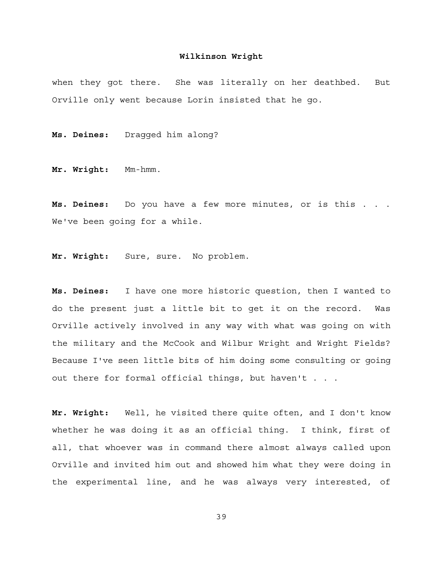when they got there. She was literally on her deathbed. But Orville only went because Lorin insisted that he go.

**Ms. Deines:** Dragged him along?

**Mr. Wright:** Mm-hmm.

**Ms. Deines:** Do you have a few more minutes, or is this . . . We've been going for a while.

**Mr. Wright:** Sure, sure. No problem.

**Ms. Deines:** I have one more historic question, then I wanted to do the present just a little bit to get it on the record. Was Orville actively involved in any way with what was going on with the military and the McCook and Wilbur Wright and Wright Fields? Because I've seen little bits of him doing some consulting or going out there for formal official things, but haven't . . .

**Mr. Wright:** Well, he visited there quite often, and I don't know whether he was doing it as an official thing. I think, first of all, that whoever was in command there almost always called upon Orville and invited him out and showed him what they were doing in the experimental line, and he was always very interested, of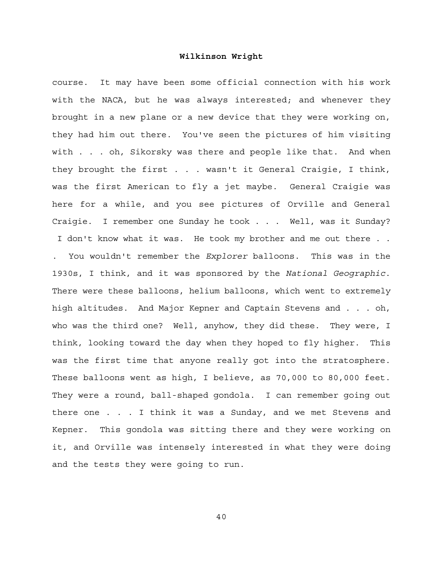course. It may have been some official connection with his work with the NACA, but he was always interested; and whenever they brought in a new plane or a new device that they were working on, they had him out there. You've seen the pictures of him visiting with . . . oh, Sikorsky was there and people like that. And when they brought the first . . . wasn't it General Craigie, I think, was the first American to fly a jet maybe. General Craigie was here for a while, and you see pictures of Orville and General Craigie. I remember one Sunday he took . . . Well, was it Sunday? I don't know what it was. He took my brother and me out there . . . You wouldn't remember the *Explorer* balloons. This was in the 1930s, I think, and it was sponsored by the *National Geographic*. There were these balloons, helium balloons, which went to extremely high altitudes. And Major Kepner and Captain Stevens and . . . oh, who was the third one? Well, anyhow, they did these. They were, I think, looking toward the day when they hoped to fly higher. This was the first time that anyone really got into the stratosphere. These balloons went as high, I believe, as 70,000 to 80,000 feet. They were a round, ball-shaped gondola. I can remember going out there one . . . I think it was a Sunday, and we met Stevens and Kepner. This gondola was sitting there and they were working on it, and Orville was intensely interested in what they were doing and the tests they were going to run.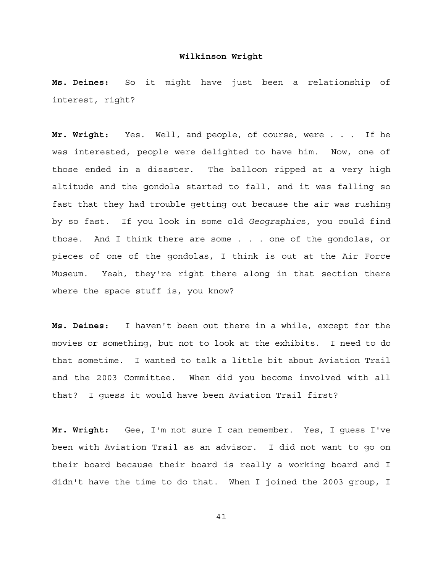**Ms. Deines:** So it might have just been a relationship of interest, right?

**Mr. Wright:** Yes. Well, and people, of course, were . . . If he was interested, people were delighted to have him. Now, one of those ended in a disaster. The balloon ripped at a very high altitude and the gondola started to fall, and it was falling so fast that they had trouble getting out because the air was rushing by so fast. If you look in some old *Geographic*s, you could find those. And I think there are some . . . one of the gondolas, or pieces of one of the gondolas, I think is out at the Air Force Museum. Yeah, they're right there along in that section there where the space stuff is, you know?

**Ms. Deines:** I haven't been out there in a while, except for the movies or something, but not to look at the exhibits. I need to do that sometime. I wanted to talk a little bit about Aviation Trail and the 2003 Committee. When did you become involved with all that? I guess it would have been Aviation Trail first?

**Mr. Wright:** Gee, I'm not sure I can remember. Yes, I guess I've been with Aviation Trail as an advisor. I did not want to go on their board because their board is really a working board and I didn't have the time to do that. When I joined the 2003 group, I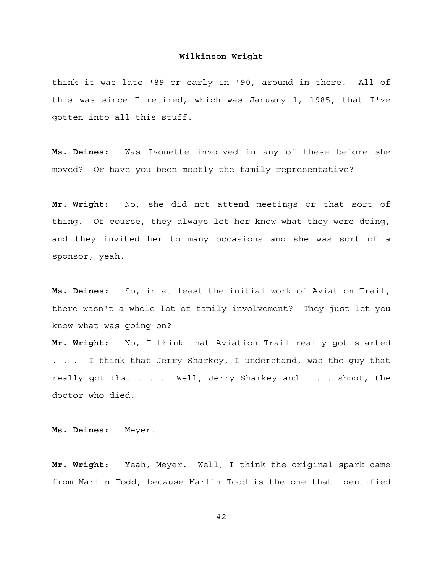think it was late '89 or early in '90, around in there. All of this was since I retired, which was January 1, 1985, that I've gotten into all this stuff.

**Ms. Deines:** Was Ivonette involved in any of these before she moved? Or have you been mostly the family representative?

**Mr. Wright:** No, she did not attend meetings or that sort of thing. Of course, they always let her know what they were doing, and they invited her to many occasions and she was sort of a sponsor, yeah.

**Ms. Deines:** So, in at least the initial work of Aviation Trail, there wasn't a whole lot of family involvement? They just let you know what was going on?

**Mr. Wright:** No, I think that Aviation Trail really got started . . . I think that Jerry Sharkey, I understand, was the guy that really got that . . . Well, Jerry Sharkey and . . . shoot, the doctor who died.

**Ms. Deines:** Meyer.

**Mr. Wright:** Yeah, Meyer. Well, I think the original spark came from Marlin Todd, because Marlin Todd is the one that identified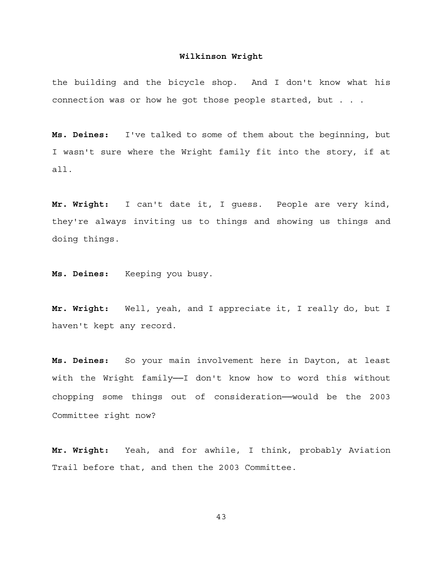the building and the bicycle shop. And I don't know what his connection was or how he got those people started, but . . .

**Ms. Deines:** I've talked to some of them about the beginning, but I wasn't sure where the Wright family fit into the story, if at all.

**Mr. Wright:** I can't date it, I guess. People are very kind, they're always inviting us to things and showing us things and doing things.

**Ms. Deines:** Keeping you busy.

**Mr. Wright:** Well, yeah, and I appreciate it, I really do, but I haven't kept any record.

**Ms. Deines:** So your main involvement here in Dayton, at least with the Wright family--I don't know how to word this without chopping some things out of consideration──would be the 2003 Committee right now?

**Mr. Wright:** Yeah, and for awhile, I think, probably Aviation Trail before that, and then the 2003 Committee.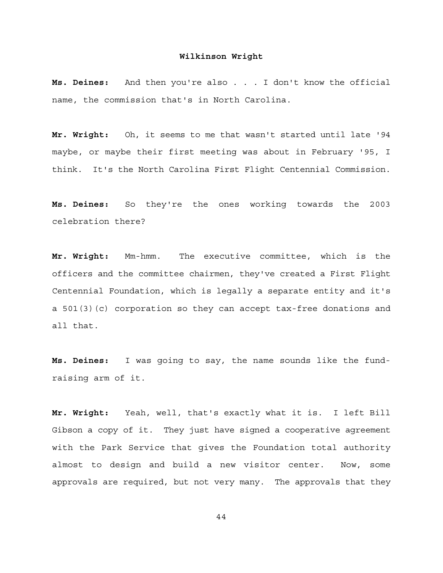**Ms. Deines:** And then you're also . . . I don't know the official name, the commission that's in North Carolina.

**Mr. Wright:** Oh, it seems to me that wasn't started until late '94 maybe, or maybe their first meeting was about in February '95, I think. It's the North Carolina First Flight Centennial Commission.

**Ms. Deines:** So they're the ones working towards the 2003 celebration there?

**Mr. Wright:** Mm-hmm. The executive committee, which is the officers and the committee chairmen, they've created a First Flight Centennial Foundation, which is legally a separate entity and it's a 501(3)(c) corporation so they can accept tax-free donations and all that.

**Ms. Deines:** I was going to say, the name sounds like the fundraising arm of it.

**Mr. Wright:** Yeah, well, that's exactly what it is. I left Bill Gibson a copy of it. They just have signed a cooperative agreement with the Park Service that gives the Foundation total authority almost to design and build a new visitor center. Now, some approvals are required, but not very many. The approvals that they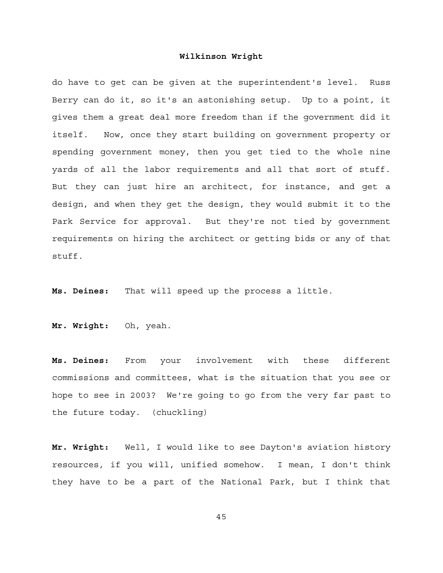do have to get can be given at the superintendent's level. Russ Berry can do it, so it's an astonishing setup. Up to a point, it gives them a great deal more freedom than if the government did it itself. Now, once they start building on government property or spending government money, then you get tied to the whole nine yards of all the labor requirements and all that sort of stuff. But they can just hire an architect, for instance, and get a design, and when they get the design, they would submit it to the Park Service for approval. But they're not tied by government requirements on hiring the architect or getting bids or any of that stuff.

**Ms. Deines:** That will speed up the process a little.

**Mr. Wright:** Oh, yeah.

**Ms. Deines:** From your involvement with these different commissions and committees, what is the situation that you see or hope to see in 2003? We're going to go from the very far past to the future today. (chuckling)

**Mr. Wright:** Well, I would like to see Dayton's aviation history resources, if you will, unified somehow. I mean, I don't think they have to be a part of the National Park, but I think that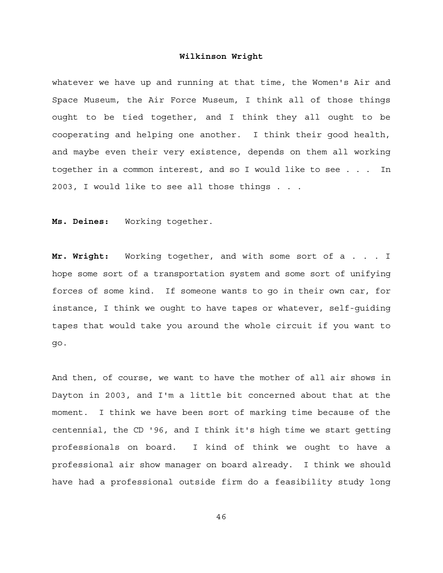whatever we have up and running at that time, the Women's Air and Space Museum, the Air Force Museum, I think all of those things ought to be tied together, and I think they all ought to be cooperating and helping one another. I think their good health, and maybe even their very existence, depends on them all working together in a common interest, and so I would like to see . . . In 2003, I would like to see all those things . . .

**Ms. Deines:** Working together.

**Mr. Wright:** Working together, and with some sort of a . . . I hope some sort of a transportation system and some sort of unifying forces of some kind. If someone wants to go in their own car, for instance, I think we ought to have tapes or whatever, self-guiding tapes that would take you around the whole circuit if you want to go.

And then, of course, we want to have the mother of all air shows in Dayton in 2003, and I'm a little bit concerned about that at the moment. I think we have been sort of marking time because of the centennial, the CD '96, and I think it's high time we start getting professionals on board. I kind of think we ought to have a professional air show manager on board already. I think we should have had a professional outside firm do a feasibility study long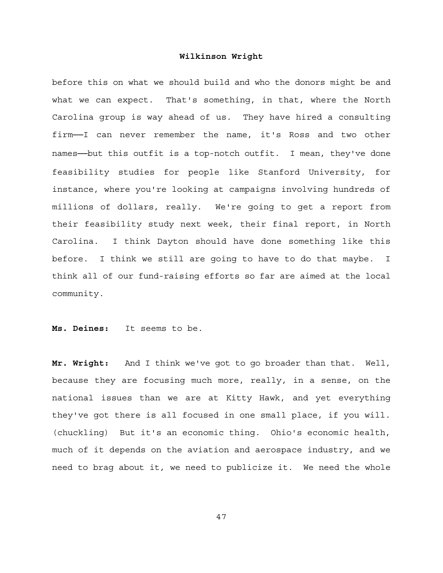before this on what we should build and who the donors might be and what we can expect. That's something, in that, where the North Carolina group is way ahead of us. They have hired a consulting firm──I can never remember the name, it's Ross and two other names--but this outfit is a top-notch outfit. I mean, they've done feasibility studies for people like Stanford University, for instance, where you're looking at campaigns involving hundreds of millions of dollars, really. We're going to get a report from their feasibility study next week, their final report, in North Carolina. I think Dayton should have done something like this before. I think we still are going to have to do that maybe. I think all of our fund-raising efforts so far are aimed at the local community.

#### **Ms. Deines:** It seems to be.

**Mr. Wright:** And I think we've got to go broader than that. Well, because they are focusing much more, really, in a sense, on the national issues than we are at Kitty Hawk, and yet everything they've got there is all focused in one small place, if you will. (chuckling) But it's an economic thing. Ohio's economic health, much of it depends on the aviation and aerospace industry, and we need to brag about it, we need to publicize it. We need the whole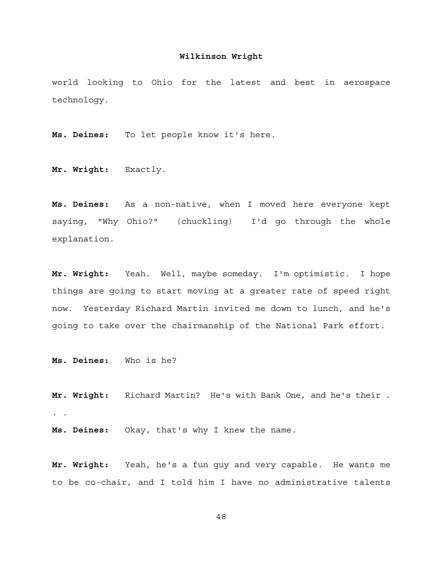world looking to Ohio for the latest and best in aerospace technology.

**Ms. Deines:** To let people know it's here.

**Mr. Wright:** Exactly.

**Ms. Deines:** As a non-native, when I moved here everyone kept saying, "Why Ohio?" (chuckling) I'd go through the whole explanation.

**Mr. Wright:** Yeah. Well, maybe someday. I'm optimistic. I hope things are going to start moving at a greater rate of speed right now. Yesterday Richard Martin invited me down to lunch, and he's going to take over the chairmanship of the National Park effort.

**Ms. Deines:** Who is he?

**Mr. Wright:** Richard Martin? He's with Bank One, and he's their . . .

**Ms. Deines:** Okay, that's why I knew the name.

**Mr. Wright:** Yeah, he's a fun guy and very capable. He wants me to be co-chair, and I told him I have no administrative talents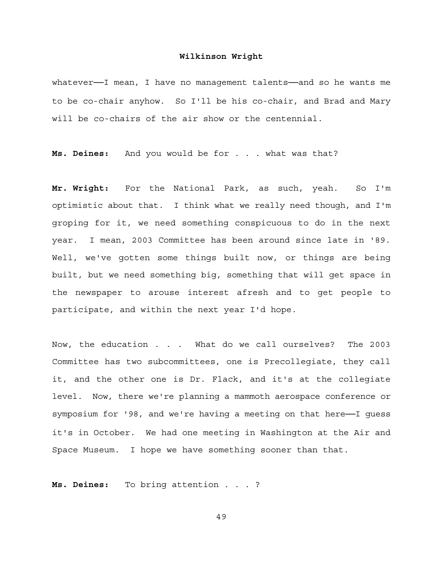whatever-I mean, I have no management talents-and so he wants me to be co-chair anyhow. So I'll be his co-chair, and Brad and Mary will be co-chairs of the air show or the centennial.

**Ms. Deines:** And you would be for . . . what was that?

**Mr. Wright:** For the National Park, as such, yeah. So I'm optimistic about that. I think what we really need though, and I'm groping for it, we need something conspicuous to do in the next year. I mean, 2003 Committee has been around since late in '89. Well, we've gotten some things built now, or things are being built, but we need something big, something that will get space in the newspaper to arouse interest afresh and to get people to participate, and within the next year I'd hope.

Now, the education . . . What do we call ourselves? The 2003 Committee has two subcommittees, one is Precollegiate, they call it, and the other one is Dr. Flack, and it's at the collegiate level. Now, there we're planning a mammoth aerospace conference or symposium for '98, and we're having a meeting on that here--I guess it's in October. We had one meeting in Washington at the Air and Space Museum. I hope we have something sooner than that.

**Ms. Deines:** To bring attention . . . ?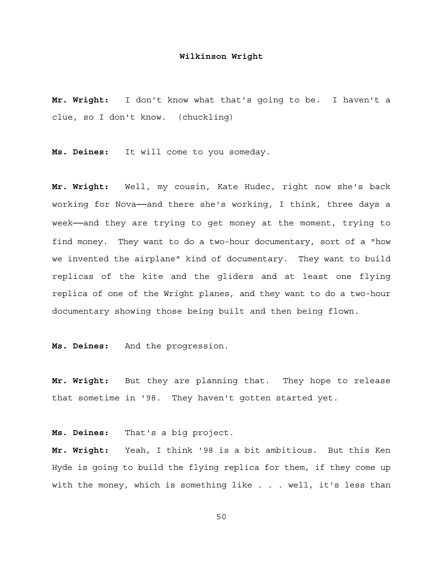**Mr. Wright:** I don't know what that's going to be. I haven't a clue, so I don't know. (chuckling)

**Ms. Deines:** It will come to you someday.

**Mr. Wright:** Well, my cousin, Kate Hudec, right now she's back working for Nova--and there she's working, I think, three days a week--and they are trying to get money at the moment, trying to find money. They want to do a two-hour documentary, sort of a "how we invented the airplane" kind of documentary. They want to build replicas of the kite and the gliders and at least one flying replica of one of the Wright planes, and they want to do a two-hour documentary showing those being built and then being flown.

**Ms. Deines:** And the progression.

**Mr. Wright:** But they are planning that. They hope to release that sometime in '98. They haven't gotten started yet.

**Ms. Deines:** That's a big project.

**Mr. Wright:** Yeah, I think '98 is a bit ambitious. But this Ken Hyde is going to build the flying replica for them, if they come up with the money, which is something like . . . well, it's less than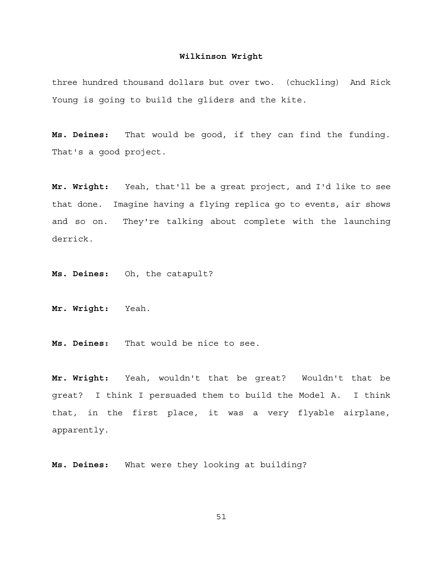three hundred thousand dollars but over two. (chuckling) And Rick Young is going to build the gliders and the kite.

**Ms. Deines:** That would be good, if they can find the funding. That's a good project.

**Mr. Wright:** Yeah, that'll be a great project, and I'd like to see that done. Imagine having a flying replica go to events, air shows and so on. They're talking about complete with the launching derrick.

**Ms. Deines:** Oh, the catapult?

**Mr. Wright:** Yeah.

**Ms. Deines:** That would be nice to see.

**Mr. Wright:** Yeah, wouldn't that be great? Wouldn't that be great? I think I persuaded them to build the Model A. I think that, in the first place, it was a very flyable airplane, apparently.

**Ms. Deines:** What were they looking at building?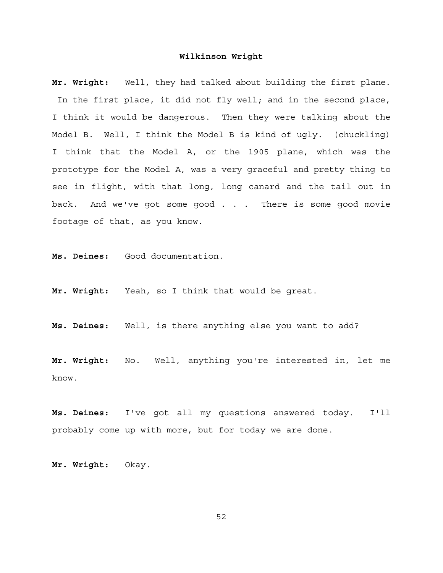**Mr. Wright:** Well, they had talked about building the first plane. In the first place, it did not fly well; and in the second place, I think it would be dangerous. Then they were talking about the Model B. Well, I think the Model B is kind of ugly. (chuckling) I think that the Model A, or the 1905 plane, which was the prototype for the Model A, was a very graceful and pretty thing to see in flight, with that long, long canard and the tail out in back. And we've got some good . . . There is some good movie footage of that, as you know.

**Ms. Deines:** Good documentation.

**Mr. Wright:** Yeah, so I think that would be great.

**Ms. Deines:** Well, is there anything else you want to add?

**Mr. Wright:** No. Well, anything you're interested in, let me know.

**Ms. Deines:** I've got all my questions answered today. I'll probably come up with more, but for today we are done.

**Mr. Wright:** Okay.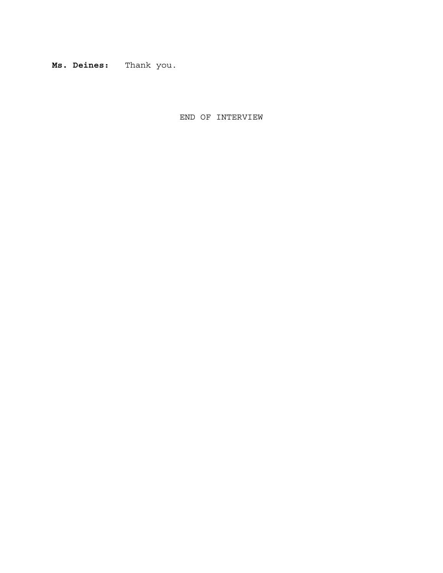**Ms. Deines:** Thank you.

END OF INTERVIEW